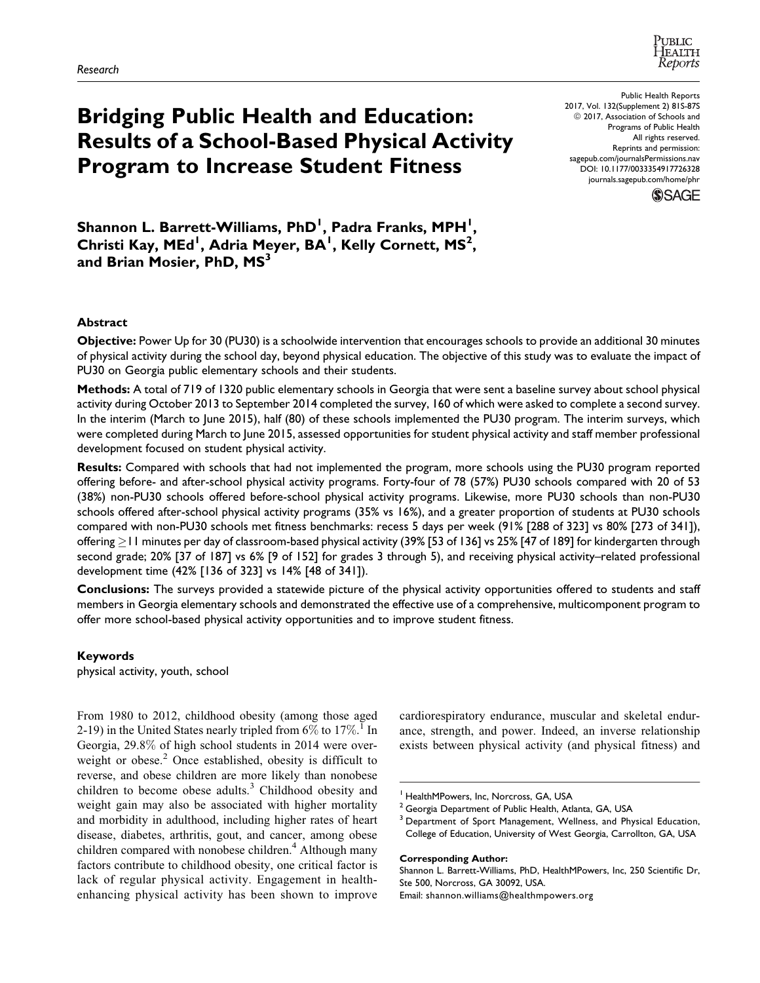

# Bridging Public Health and Education: Results of a School-Based Physical Activity Program to Increase Student Fitness

Public Health Reports 2017, Vol. 132(Supplement 2) 81S-87S  $@ 2017$ , Association of Schools and Programs of Public Health All rights reserved. Reprints and permission: [sagepub.com/journalsPermissions.nav](https://us.sagepub.com/en-us/journals-permissions) [DOI: 10.1177/0033354917726328](https://doi.org/10.1177/0033354917726328) [journals.sagepub.com/home/phr](http://journals.sagepub.com/home/phr)



Shannon L. Barrett-Williams, PhD<sup>I</sup>, Padra Franks, MPH<sup>I</sup>, Christi Kay, MEd<sup>1</sup>, Adria Meyer, BA<sup>1</sup>, Kelly Cornett, MS<sup>2</sup>, and Brian Mosier, PhD, MS<sup>3</sup>

## Abstract

Objective: Power Up for 30 (PU30) is a schoolwide intervention that encourages schools to provide an additional 30 minutes of physical activity during the school day, beyond physical education. The objective of this study was to evaluate the impact of PU30 on Georgia public elementary schools and their students.

Methods: A total of 719 of 1320 public elementary schools in Georgia that were sent a baseline survey about school physical activity during October 2013 to September 2014 completed the survey, 160 of which were asked to complete a second survey. In the interim (March to June 2015), half (80) of these schools implemented the PU30 program. The interim surveys, which were completed during March to June 2015, assessed opportunities for student physical activity and staff member professional development focused on student physical activity.

Results: Compared with schools that had not implemented the program, more schools using the PU30 program reported offering before- and after-school physical activity programs. Forty-four of 78 (57%) PU30 schools compared with 20 of 53 (38%) non-PU30 schools offered before-school physical activity programs. Likewise, more PU30 schools than non-PU30 schools offered after-school physical activity programs (35% vs 16%), and a greater proportion of students at PU30 schools compared with non-PU30 schools met fitness benchmarks: recess 5 days per week (91% [288 of 323] vs 80% [273 of 341]), offering  $\ge$  l I minutes per day of classroom-based physical activity (39% [53 of 136] vs 25% [47 of 189] for kindergarten through second grade; 20% [37 of 187] vs 6% [9 of 152] for grades 3 through 5), and receiving physical activity–related professional development time (42% [136 of 323] vs 14% [48 of 341]).

Conclusions: The surveys provided a statewide picture of the physical activity opportunities offered to students and staff members in Georgia elementary schools and demonstrated the effective use of a comprehensive, multicomponent program to offer more school-based physical activity opportunities and to improve student fitness.

# Keywords

physical activity, youth, school

From 1980 to 2012, childhood obesity (among those aged 2-19) in the United States nearly tripled from  $6\%$  to  $17\%$ .<sup>1</sup> In Georgia, 29.8% of high school students in 2014 were overweight or obese.<sup>2</sup> Once established, obesity is difficult to reverse, and obese children are more likely than nonobese children to become obese adults.<sup>3</sup> Childhood obesity and weight gain may also be associated with higher mortality and morbidity in adulthood, including higher rates of heart disease, diabetes, arthritis, gout, and cancer, among obese children compared with nonobese children. $4$  Although many factors contribute to childhood obesity, one critical factor is lack of regular physical activity. Engagement in healthenhancing physical activity has been shown to improve

cardiorespiratory endurance, muscular and skeletal endurance, strength, and power. Indeed, an inverse relationship exists between physical activity (and physical fitness) and

#### Corresponding Author:

Shannon L. Barrett-Williams, PhD, HealthMPowers, Inc, 250 Scientific Dr, Ste 500, Norcross, GA 30092, USA.

Email: [shannon.williams@healthmpowers.org](mailto:shannon.williams@healthmpowers.org)

<sup>&</sup>lt;sup>1</sup> HealthMPowers, Inc, Norcross, GA, USA

<sup>&</sup>lt;sup>2</sup> Georgia Department of Public Health, Atlanta, GA, USA

<sup>&</sup>lt;sup>3</sup> Department of Sport Management, Wellness, and Physical Education, College of Education, University of West Georgia, Carrollton, GA, USA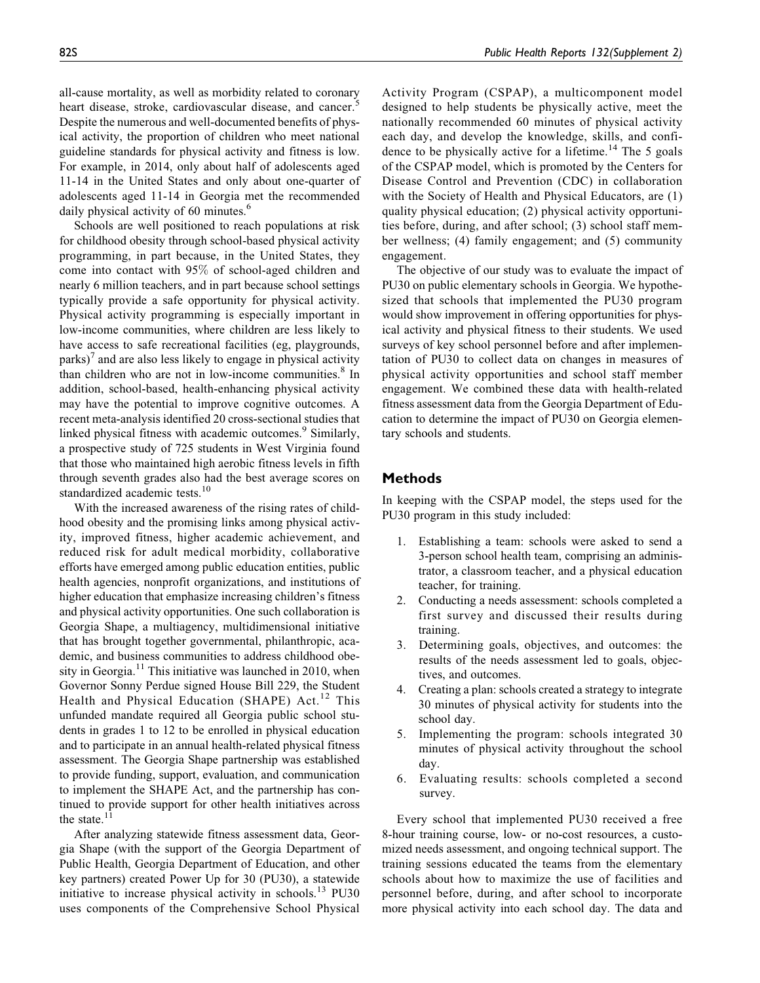all-cause mortality, as well as morbidity related to coronary heart disease, stroke, cardiovascular disease, and cancer.<sup>5</sup> Despite the numerous and well-documented benefits of physical activity, the proportion of children who meet national guideline standards for physical activity and fitness is low. For example, in 2014, only about half of adolescents aged 11-14 in the United States and only about one-quarter of adolescents aged 11-14 in Georgia met the recommended daily physical activity of 60 minutes.<sup>6</sup>

Schools are well positioned to reach populations at risk for childhood obesity through school-based physical activity programming, in part because, in the United States, they come into contact with 95% of school-aged children and nearly 6 million teachers, and in part because school settings typically provide a safe opportunity for physical activity. Physical activity programming is especially important in low-income communities, where children are less likely to have access to safe recreational facilities (eg, playgrounds,  $parts)'$  and are also less likely to engage in physical activity than children who are not in low-income communities. $8 \text{ In}$ addition, school-based, health-enhancing physical activity may have the potential to improve cognitive outcomes. A recent meta-analysis identified 20 cross-sectional studies that linked physical fitness with academic outcomes.<sup>9</sup> Similarly, a prospective study of 725 students in West Virginia found that those who maintained high aerobic fitness levels in fifth through seventh grades also had the best average scores on standardized academic tests.<sup>10</sup>

With the increased awareness of the rising rates of childhood obesity and the promising links among physical activity, improved fitness, higher academic achievement, and reduced risk for adult medical morbidity, collaborative efforts have emerged among public education entities, public health agencies, nonprofit organizations, and institutions of higher education that emphasize increasing children's fitness and physical activity opportunities. One such collaboration is Georgia Shape, a multiagency, multidimensional initiative that has brought together governmental, philanthropic, academic, and business communities to address childhood obesity in Georgia.<sup>11</sup> This initiative was launched in 2010, when Governor Sonny Perdue signed House Bill 229, the Student Health and Physical Education (SHAPE) Act.<sup>12</sup> This unfunded mandate required all Georgia public school students in grades 1 to 12 to be enrolled in physical education and to participate in an annual health-related physical fitness assessment. The Georgia Shape partnership was established to provide funding, support, evaluation, and communication to implement the SHAPE Act, and the partnership has continued to provide support for other health initiatives across the state. $1\overline{1}$ 

After analyzing statewide fitness assessment data, Georgia Shape (with the support of the Georgia Department of Public Health, Georgia Department of Education, and other key partners) created Power Up for 30 (PU30), a statewide initiative to increase physical activity in schools.<sup>13</sup> PU30 uses components of the Comprehensive School Physical

Activity Program (CSPAP), a multicomponent model designed to help students be physically active, meet the nationally recommended 60 minutes of physical activity each day, and develop the knowledge, skills, and confidence to be physically active for a lifetime.<sup>14</sup> The 5 goals of the CSPAP model, which is promoted by the Centers for Disease Control and Prevention (CDC) in collaboration with the Society of Health and Physical Educators, are (1) quality physical education; (2) physical activity opportunities before, during, and after school; (3) school staff member wellness; (4) family engagement; and (5) community engagement.

The objective of our study was to evaluate the impact of PU30 on public elementary schools in Georgia. We hypothesized that schools that implemented the PU30 program would show improvement in offering opportunities for physical activity and physical fitness to their students. We used surveys of key school personnel before and after implementation of PU30 to collect data on changes in measures of physical activity opportunities and school staff member engagement. We combined these data with health-related fitness assessment data from the Georgia Department of Education to determine the impact of PU30 on Georgia elementary schools and students.

## Methods

In keeping with the CSPAP model, the steps used for the PU30 program in this study included:

- 1. Establishing a team: schools were asked to send a 3-person school health team, comprising an administrator, a classroom teacher, and a physical education teacher, for training.
- 2. Conducting a needs assessment: schools completed a first survey and discussed their results during training.
- 3. Determining goals, objectives, and outcomes: the results of the needs assessment led to goals, objectives, and outcomes.
- 4. Creating a plan: schools created a strategy to integrate 30 minutes of physical activity for students into the school day.
- 5. Implementing the program: schools integrated 30 minutes of physical activity throughout the school day.
- 6. Evaluating results: schools completed a second survey.

Every school that implemented PU30 received a free 8-hour training course, low- or no-cost resources, a customized needs assessment, and ongoing technical support. The training sessions educated the teams from the elementary schools about how to maximize the use of facilities and personnel before, during, and after school to incorporate more physical activity into each school day. The data and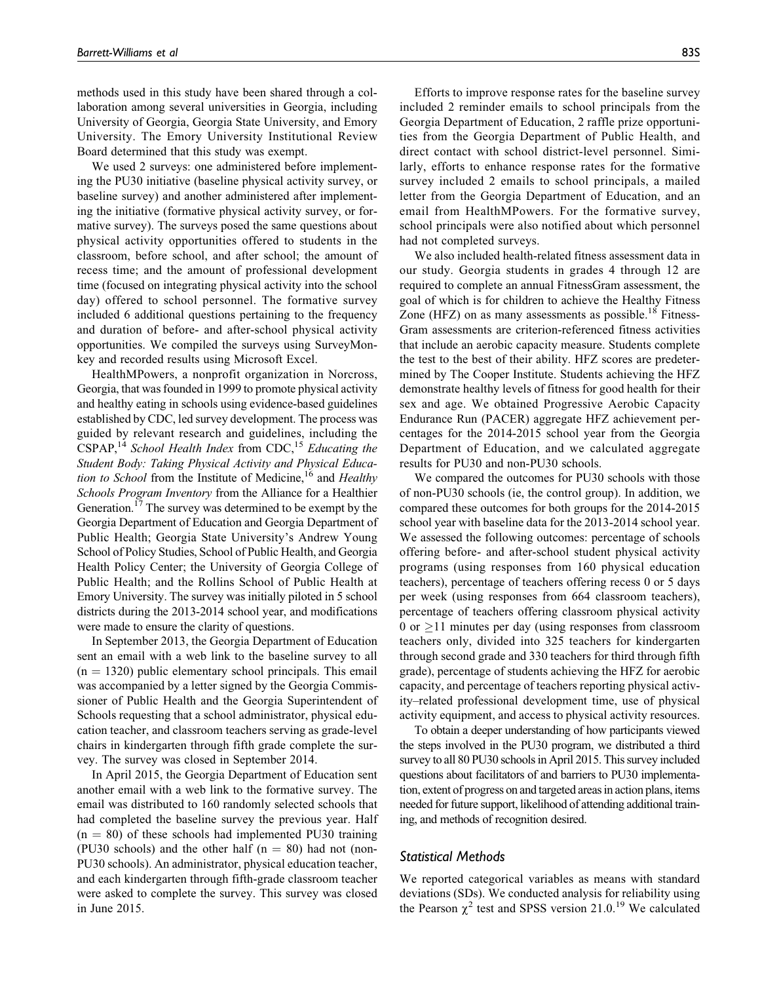methods used in this study have been shared through a collaboration among several universities in Georgia, including University of Georgia, Georgia State University, and Emory University. The Emory University Institutional Review Board determined that this study was exempt.

We used 2 surveys: one administered before implementing the PU30 initiative (baseline physical activity survey, or baseline survey) and another administered after implementing the initiative (formative physical activity survey, or formative survey). The surveys posed the same questions about physical activity opportunities offered to students in the classroom, before school, and after school; the amount of recess time; and the amount of professional development time (focused on integrating physical activity into the school day) offered to school personnel. The formative survey included 6 additional questions pertaining to the frequency and duration of before- and after-school physical activity opportunities. We compiled the surveys using SurveyMonkey and recorded results using Microsoft Excel.

HealthMPowers, a nonprofit organization in Norcross, Georgia, that was founded in 1999 to promote physical activity and healthy eating in schools using evidence-based guidelines established by CDC, led survey development. The process was guided by relevant research and guidelines, including the  $CSPAP$ ,<sup>14</sup> School Health Index from  $CDC$ ,<sup>15</sup> Educating the Student Body: Taking Physical Activity and Physical Education to School from the Institute of Medicine,<sup>16</sup> and Healthy Schools Program Inventory from the Alliance for a Healthier Generation.<sup>17</sup> The survey was determined to be exempt by the Georgia Department of Education and Georgia Department of Public Health; Georgia State University's Andrew Young School of Policy Studies, School of Public Health, and Georgia Health Policy Center; the University of Georgia College of Public Health; and the Rollins School of Public Health at Emory University. The survey was initially piloted in 5 school districts during the 2013-2014 school year, and modifications were made to ensure the clarity of questions.

In September 2013, the Georgia Department of Education sent an email with a web link to the baseline survey to all  $(n = 1320)$  public elementary school principals. This email was accompanied by a letter signed by the Georgia Commissioner of Public Health and the Georgia Superintendent of Schools requesting that a school administrator, physical education teacher, and classroom teachers serving as grade-level chairs in kindergarten through fifth grade complete the survey. The survey was closed in September 2014.

In April 2015, the Georgia Department of Education sent another email with a web link to the formative survey. The email was distributed to 160 randomly selected schools that had completed the baseline survey the previous year. Half  $(n = 80)$  of these schools had implemented PU30 training (PU30 schools) and the other half  $(n = 80)$  had not (non-PU30 schools). An administrator, physical education teacher, and each kindergarten through fifth-grade classroom teacher were asked to complete the survey. This survey was closed in June 2015.

Efforts to improve response rates for the baseline survey included 2 reminder emails to school principals from the Georgia Department of Education, 2 raffle prize opportunities from the Georgia Department of Public Health, and direct contact with school district-level personnel. Similarly, efforts to enhance response rates for the formative survey included 2 emails to school principals, a mailed letter from the Georgia Department of Education, and an email from HealthMPowers. For the formative survey, school principals were also notified about which personnel had not completed surveys.

We also included health-related fitness assessment data in our study. Georgia students in grades 4 through 12 are required to complete an annual FitnessGram assessment, the goal of which is for children to achieve the Healthy Fitness Zone (HFZ) on as many assessments as possible.<sup>18</sup> Fitness-Gram assessments are criterion-referenced fitness activities that include an aerobic capacity measure. Students complete the test to the best of their ability. HFZ scores are predetermined by The Cooper Institute. Students achieving the HFZ demonstrate healthy levels of fitness for good health for their sex and age. We obtained Progressive Aerobic Capacity Endurance Run (PACER) aggregate HFZ achievement percentages for the 2014-2015 school year from the Georgia Department of Education, and we calculated aggregate results for PU30 and non-PU30 schools.

We compared the outcomes for PU30 schools with those of non-PU30 schools (ie, the control group). In addition, we compared these outcomes for both groups for the 2014-2015 school year with baseline data for the 2013-2014 school year. We assessed the following outcomes: percentage of schools offering before- and after-school student physical activity programs (using responses from 160 physical education teachers), percentage of teachers offering recess 0 or 5 days per week (using responses from 664 classroom teachers), percentage of teachers offering classroom physical activity 0 or  $\geq$ 11 minutes per day (using responses from classroom teachers only, divided into 325 teachers for kindergarten through second grade and 330 teachers for third through fifth grade), percentage of students achieving the HFZ for aerobic capacity, and percentage of teachers reporting physical activity–related professional development time, use of physical activity equipment, and access to physical activity resources.

To obtain a deeper understanding of how participants viewed the steps involved in the PU30 program, we distributed a third survey to all 80 PU30 schools in April 2015. This survey included questions about facilitators of and barriers to PU30 implementation, extent of progress on and targeted areas in action plans, items needed for future support, likelihood of attending additional training, and methods of recognition desired.

### Statistical Methods

We reported categorical variables as means with standard deviations (SDs). We conducted analysis for reliability using the Pearson  $\chi^2$  test and SPSS version 21.0.<sup>19</sup> We calculated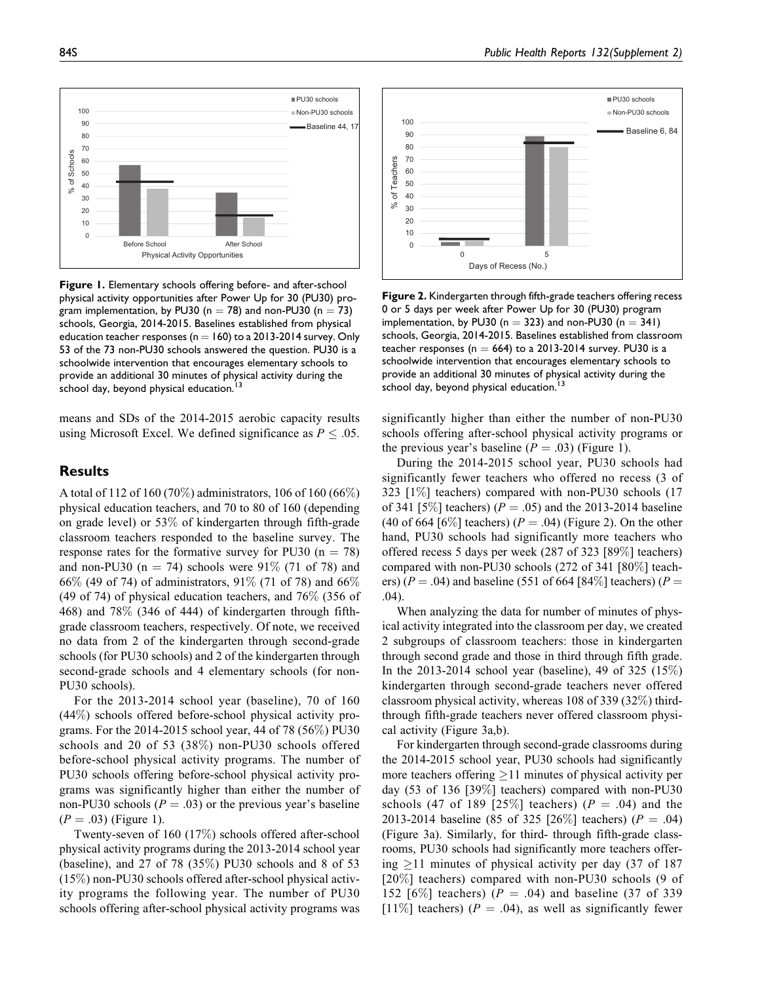

Figure 1. Elementary schools offering before- and after-school physical activity opportunities after Power Up for 30 (PU30) program implementation, by PU30 ( $n = 78$ ) and non-PU30 ( $n = 73$ ) schools, Georgia, 2014-2015. Baselines established from physical education teacher responses ( $n = 160$ ) to a 2013-2014 survey. Only 53 of the 73 non-PU30 schools answered the question. PU30 is a schoolwide intervention that encourages elementary schools to provide an additional 30 minutes of physical activity during the school day, beyond physical education.

means and SDs of the 2014-2015 aerobic capacity results using Microsoft Excel. We defined significance as  $P \leq .05$ .

## **Results**

A total of 112 of 160 (70%) administrators, 106 of 160 (66%) physical education teachers, and 70 to 80 of 160 (depending on grade level) or 53% of kindergarten through fifth-grade classroom teachers responded to the baseline survey. The response rates for the formative survey for PU30 ( $n = 78$ ) and non-PU30 (n = 74) schools were 91\% (71 of 78) and 66% (49 of 74) of administrators, 91% (71 of 78) and 66% (49 of 74) of physical education teachers, and 76% (356 of 468) and 78% (346 of 444) of kindergarten through fifthgrade classroom teachers, respectively. Of note, we received no data from 2 of the kindergarten through second-grade schools (for PU30 schools) and 2 of the kindergarten through second-grade schools and 4 elementary schools (for non-PU30 schools).

For the 2013-2014 school year (baseline), 70 of 160 (44%) schools offered before-school physical activity programs. For the 2014-2015 school year, 44 of 78 (56%) PU30 schools and 20 of 53 (38%) non-PU30 schools offered before-school physical activity programs. The number of PU30 schools offering before-school physical activity programs was significantly higher than either the number of non-PU30 schools ( $P = .03$ ) or the previous year's baseline  $(P = .03)$  (Figure 1).

Twenty-seven of 160 (17%) schools offered after-school physical activity programs during the 2013-2014 school year (baseline), and 27 of 78 (35%) PU30 schools and 8 of 53 (15%) non-PU30 schools offered after-school physical activity programs the following year. The number of PU30 schools offering after-school physical activity programs was



Figure 2. Kindergarten through fifth-grade teachers offering recess 0 or 5 days per week after Power Up for 30 (PU30) program implementation, by PU30 ( $n = 323$ ) and non-PU30 ( $n = 341$ ) schools, Georgia, 2014-2015. Baselines established from classroom teacher responses (n  $=$  664) to a 2013-2014 survey. PU30 is a schoolwide intervention that encourages elementary schools to provide an additional 30 minutes of physical activity during the school day, beyond physical education.<sup>1</sup>

significantly higher than either the number of non-PU30 schools offering after-school physical activity programs or the previous year's baseline  $(P = .03)$  (Figure 1).

During the 2014-2015 school year, PU30 schools had significantly fewer teachers who offered no recess (3 of 323 [1%] teachers) compared with non-PU30 schools (17 of 341 [5\%] teachers) ( $P = .05$ ) and the 2013-2014 baseline (40 of 664 [6\%) teachers) ( $P = .04$ ) (Figure 2). On the other hand, PU30 schools had significantly more teachers who offered recess 5 days per week (287 of 323 [89%] teachers) compared with non-PU30 schools (272 of 341 [80%] teachers) ( $P = .04$ ) and baseline (551 of 664 [84\%] teachers) ( $P =$ .04).

When analyzing the data for number of minutes of physical activity integrated into the classroom per day, we created 2 subgroups of classroom teachers: those in kindergarten through second grade and those in third through fifth grade. In the 2013-2014 school year (baseline), 49 of 325 (15%) kindergarten through second-grade teachers never offered classroom physical activity, whereas 108 of 339 (32%) thirdthrough fifth-grade teachers never offered classroom physical activity (Figure 3a,b).

For kindergarten through second-grade classrooms during the 2014-2015 school year, PU30 schools had significantly more teachers offering  $\geq$ 11 minutes of physical activity per day (53 of 136 [39%] teachers) compared with non-PU30 schools (47 of 189 [25%] teachers) ( $P = .04$ ) and the 2013-2014 baseline (85 of 325 [26%] teachers) ( $P = .04$ ) (Figure 3a). Similarly, for third- through fifth-grade classrooms, PU30 schools had significantly more teachers offering  $\geq$ 11 minutes of physical activity per day (37 of 187 [20%] teachers) compared with non-PU30 schools (9 of 152 [6%] teachers) ( $P = .04$ ) and baseline (37 of 339 [11%] teachers) ( $P = .04$ ), as well as significantly fewer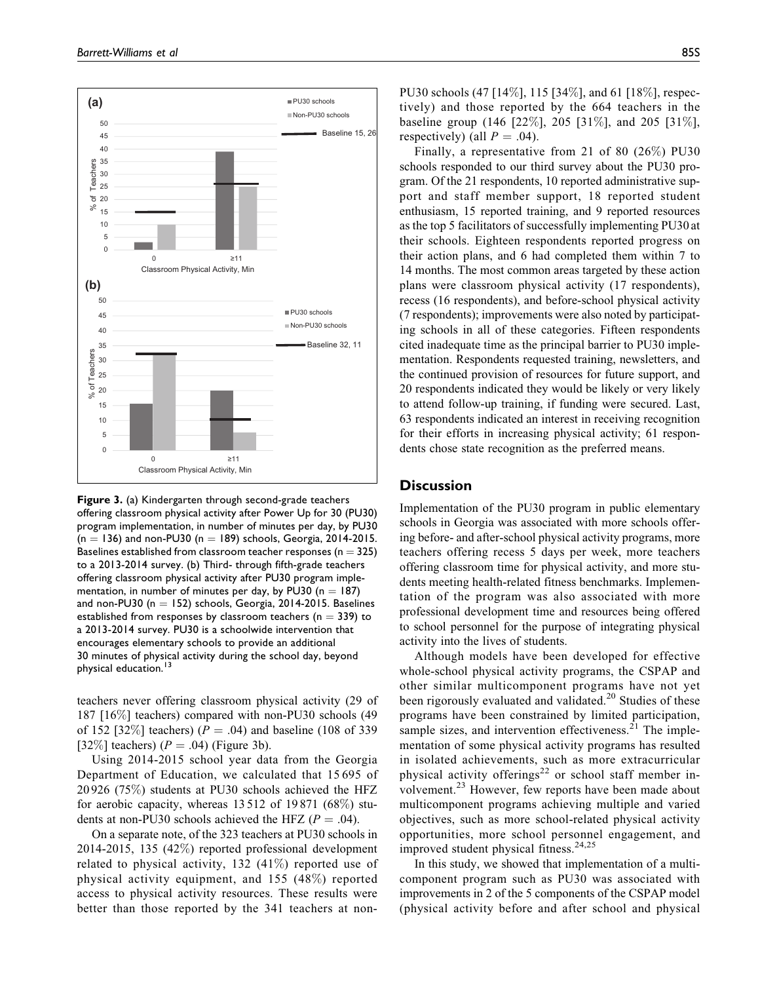

Figure 3. (a) Kindergarten through second-grade teachers offering classroom physical activity after Power Up for 30 (PU30) program implementation, in number of minutes per day, by PU30  $(n = 136)$  and non-PU30 (n = 189) schools, Georgia, 2014-2015. Baselines established from classroom teacher responses ( $n = 325$ ) to a 2013-2014 survey. (b) Third- through fifth-grade teachers offering classroom physical activity after PU30 program implementation, in number of minutes per day, by PU30 ( $n = 187$ ) and non-PU30 ( $n = 152$ ) schools, Georgia, 2014-2015. Baselines established from responses by classroom teachers ( $n = 339$ ) to a 2013-2014 survey. PU30 is a schoolwide intervention that encourages elementary schools to provide an additional 30 minutes of physical activity during the school day, beyond physical education.<sup>13</sup>

teachers never offering classroom physical activity (29 of 187 [16%] teachers) compared with non-PU30 schools (49 of 152 [32%] teachers) ( $P = .04$ ) and baseline (108 of 339 [32\%] teachers)  $(P = .04)$  (Figure 3b).

Using 2014-2015 school year data from the Georgia Department of Education, we calculated that 15 695 of 20 926 (75%) students at PU30 schools achieved the HFZ for aerobic capacity, whereas 13 512 of 19 871 (68%) students at non-PU30 schools achieved the HFZ ( $P = .04$ ).

On a separate note, of the 323 teachers at PU30 schools in 2014-2015, 135 (42%) reported professional development related to physical activity, 132 (41%) reported use of physical activity equipment, and 155 (48%) reported access to physical activity resources. These results were better than those reported by the 341 teachers at nonPU30 schools (47 [14%], 115 [34%], and 61 [18%], respectively) and those reported by the 664 teachers in the baseline group (146 [22%], 205 [31%], and 205 [31%], respectively) (all  $P = .04$ ).

Finally, a representative from 21 of 80 (26%) PU30 schools responded to our third survey about the PU30 program. Of the 21 respondents, 10 reported administrative support and staff member support, 18 reported student enthusiasm, 15 reported training, and 9 reported resources as the top 5 facilitators of successfully implementing PU30 at their schools. Eighteen respondents reported progress on their action plans, and 6 had completed them within 7 to 14 months. The most common areas targeted by these action plans were classroom physical activity (17 respondents), recess (16 respondents), and before-school physical activity (7 respondents); improvements were also noted by participating schools in all of these categories. Fifteen respondents cited inadequate time as the principal barrier to PU30 implementation. Respondents requested training, newsletters, and the continued provision of resources for future support, and 20 respondents indicated they would be likely or very likely to attend follow-up training, if funding were secured. Last, 63 respondents indicated an interest in receiving recognition for their efforts in increasing physical activity; 61 respondents chose state recognition as the preferred means.

# **Discussion**

Implementation of the PU30 program in public elementary schools in Georgia was associated with more schools offering before- and after-school physical activity programs, more teachers offering recess 5 days per week, more teachers offering classroom time for physical activity, and more students meeting health-related fitness benchmarks. Implementation of the program was also associated with more professional development time and resources being offered to school personnel for the purpose of integrating physical activity into the lives of students.

Although models have been developed for effective whole-school physical activity programs, the CSPAP and other similar multicomponent programs have not yet been rigorously evaluated and validated.<sup>20</sup> Studies of these programs have been constrained by limited participation, sample sizes, and intervention effectiveness. $^{21}$  The implementation of some physical activity programs has resulted in isolated achievements, such as more extracurricular physical activity offerings<sup>22</sup> or school staff member involvement.<sup>23</sup> However, few reports have been made about multicomponent programs achieving multiple and varied objectives, such as more school-related physical activity opportunities, more school personnel engagement, and improved student physical fitness.<sup>24,25</sup>

In this study, we showed that implementation of a multicomponent program such as PU30 was associated with improvements in 2 of the 5 components of the CSPAP model (physical activity before and after school and physical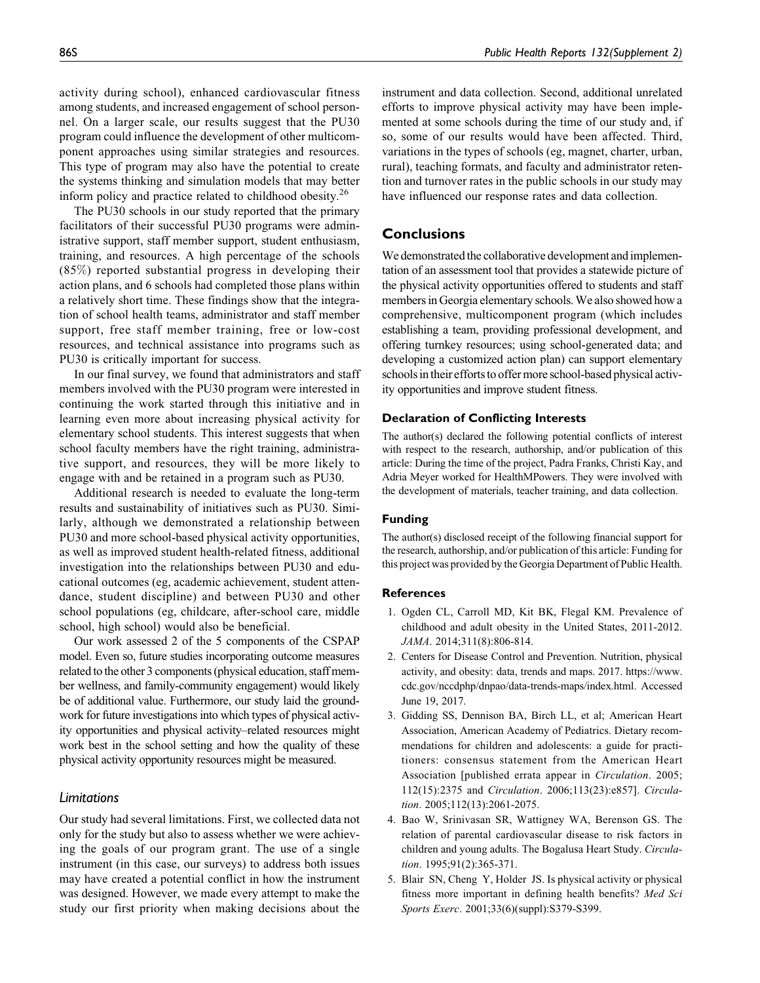activity during school), enhanced cardiovascular fitness among students, and increased engagement of school personnel. On a larger scale, our results suggest that the PU30 program could influence the development of other multicomponent approaches using similar strategies and resources. This type of program may also have the potential to create the systems thinking and simulation models that may better inform policy and practice related to childhood obesity.<sup>26</sup>

The PU30 schools in our study reported that the primary facilitators of their successful PU30 programs were administrative support, staff member support, student enthusiasm, training, and resources. A high percentage of the schools (85%) reported substantial progress in developing their action plans, and 6 schools had completed those plans within a relatively short time. These findings show that the integration of school health teams, administrator and staff member support, free staff member training, free or low-cost resources, and technical assistance into programs such as PU30 is critically important for success.

In our final survey, we found that administrators and staff members involved with the PU30 program were interested in continuing the work started through this initiative and in learning even more about increasing physical activity for elementary school students. This interest suggests that when school faculty members have the right training, administrative support, and resources, they will be more likely to engage with and be retained in a program such as PU30.

Additional research is needed to evaluate the long-term results and sustainability of initiatives such as PU30. Similarly, although we demonstrated a relationship between PU30 and more school-based physical activity opportunities, as well as improved student health-related fitness, additional investigation into the relationships between PU30 and educational outcomes (eg, academic achievement, student attendance, student discipline) and between PU30 and other school populations (eg, childcare, after-school care, middle school, high school) would also be beneficial.

Our work assessed 2 of the 5 components of the CSPAP model. Even so, future studies incorporating outcome measures related to the other 3 components (physical education, staff member wellness, and family-community engagement) would likely be of additional value. Furthermore, our study laid the groundwork for future investigations into which types of physical activity opportunities and physical activity–related resources might work best in the school setting and how the quality of these physical activity opportunity resources might be measured.

# Limitations

Our study had several limitations. First, we collected data not only for the study but also to assess whether we were achieving the goals of our program grant. The use of a single instrument (in this case, our surveys) to address both issues may have created a potential conflict in how the instrument was designed. However, we made every attempt to make the study our first priority when making decisions about the instrument and data collection. Second, additional unrelated efforts to improve physical activity may have been implemented at some schools during the time of our study and, if so, some of our results would have been affected. Third, variations in the types of schools (eg, magnet, charter, urban, rural), teaching formats, and faculty and administrator retention and turnover rates in the public schools in our study may have influenced our response rates and data collection.

## **Conclusions**

We demonstrated the collaborative development and implementation of an assessment tool that provides a statewide picture of the physical activity opportunities offered to students and staff members in Georgia elementary schools.We also showed how a comprehensive, multicomponent program (which includes establishing a team, providing professional development, and offering turnkey resources; using school-generated data; and developing a customized action plan) can support elementary schools in their efforts to offer more school-based physical activity opportunities and improve student fitness.

#### Declaration of Conflicting Interests

The author(s) declared the following potential conflicts of interest with respect to the research, authorship, and/or publication of this article: During the time of the project, Padra Franks, Christi Kay, and Adria Meyer worked for HealthMPowers. They were involved with the development of materials, teacher training, and data collection.

## Funding

The author(s) disclosed receipt of the following financial support for the research, authorship, and/or publication of this article: Funding for this project was provided by the Georgia Department of Public Health.

#### References

- 1. Ogden CL, Carroll MD, Kit BK, Flegal KM. Prevalence of childhood and adult obesity in the United States, 2011-2012. JAMA. 2014;311(8):806-814.
- 2. Centers for Disease Control and Prevention. Nutrition, physical activity, and obesity: data, trends and maps. 2017. [https://www.](https://www.cdc.gov/nccdphp/dnpao/data-trends-maps/index.html) [cdc.gov/nccdphp/dnpao/data-trends-maps/index.html.](https://www.cdc.gov/nccdphp/dnpao/data-trends-maps/index.html) Accessed June 19, 2017.
- 3. Gidding SS, Dennison BA, Birch LL, et al; American Heart Association, American Academy of Pediatrics. Dietary recommendations for children and adolescents: a guide for practitioners: consensus statement from the American Heart Association [published errata appear in Circulation. 2005; 112(15):2375 and Circulation. 2006;113(23):e857]. Circulation. 2005;112(13):2061-2075.
- 4. Bao W, Srinivasan SR, Wattigney WA, Berenson GS. The relation of parental cardiovascular disease to risk factors in children and young adults. The Bogalusa Heart Study. Circulation. 1995;91(2):365-371.
- 5. Blair SN, Cheng Y, Holder JS. Is physical activity or physical fitness more important in defining health benefits? Med Sci Sports Exerc. 2001;33(6)(suppl):S379-S399.